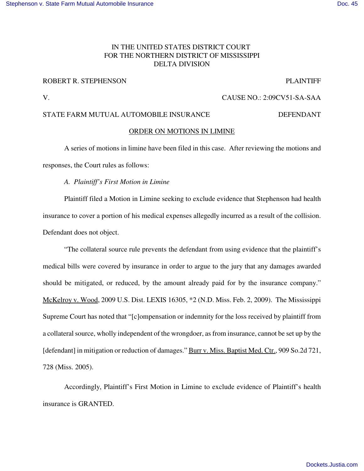# IN THE UNITED STATES DISTRICT COURT FOR THE NORTHERN DISTRICT OF MISSISSIPPI DELTA DIVISION

## ROBERT R. STEPHENSON PLAINTIFF

V. CAUSE NO.: 2:09CV51-SA-SAA

# STATE FARM MUTUAL AUTOMOBILE INSURANCE DEFENDANT

### ORDER ON MOTIONS IN LIMINE

A series of motions in limine have been filed in this case. After reviewing the motions and responses, the Court rules as follows:

#### *A. Plaintiff's First Motion in Limine*

Plaintiff filed a Motion in Limine seeking to exclude evidence that Stephenson had health insurance to cover a portion of his medical expenses allegedly incurred as a result of the collision. Defendant does not object.

"The collateral source rule prevents the defendant from using evidence that the plaintiff's medical bills were covered by insurance in order to argue to the jury that any damages awarded should be mitigated, or reduced, by the amount already paid for by the insurance company." McKelroy v. Wood, 2009 U.S. Dist. LEXIS 16305, \*2 (N.D. Miss. Feb. 2, 2009). The Mississippi Supreme Court has noted that "[c]ompensation or indemnity for the loss received by plaintiff from a collateral source, wholly independent of the wrongdoer, as from insurance, cannot be set up by the [defendant] in mitigation or reduction of damages." Burr v. Miss. Baptist Med. Ctr., 909 So.2d 721, 728 (Miss. 2005).

Accordingly, Plaintiff's First Motion in Limine to exclude evidence of Plaintiff's health insurance is GRANTED.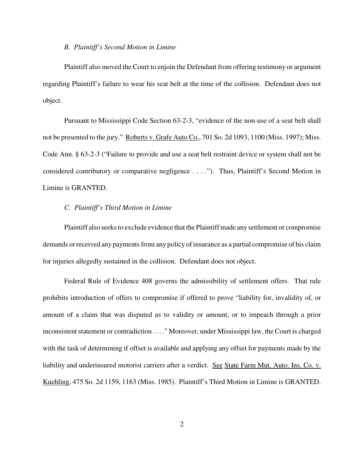#### *B. Plaintiff's Second Motion in Limine*

Plaintiff also moved the Court to enjoin the Defendant from offering testimony or argument regarding Plaintiff's failure to wear his seat belt at the time of the collision. Defendant does not object.

Pursuant to Mississippi Code Section 63-2-3, "evidence of the non-use of a seat belt shall not be presented to the jury." Roberts v. Grafe Auto Co., 701 So. 2d 1093, 1100 (Miss. 1997); Miss. Code Ann. § 63-2-3 ("Failure to provide and use a seat belt restraint device or system shall not be considered contributory or comparative negligence . . . ."). Thus, Plaintiff's Second Motion in Limine is GRANTED.

## *C. Plaintiff's Third Motion in Limine*

Plaintiff also seeks to exclude evidence that the Plaintiff made any settlement or compromise demands or received any payments from any policy of insurance as a partial compromise of his claim for injuries allegedly sustained in the collision. Defendant does not object.

Federal Rule of Evidence 408 governs the admissibility of settlement offers. That rule prohibits introduction of offers to compromise if offered to prove "liability for, invalidity of, or amount of a claim that was disputed as to validity or amount, or to impeach through a prior inconsistent statement or contradiction . . . ." Moreover, under Mississippi law, the Court is charged with the task of determining if offset is available and applying any offset for payments made by the liability and underinsured motorist carriers after a verdict. See State Farm Mut. Auto. Ins. Co. v. Kuehling, 475 So. 2d 1159, 1163 (Miss. 1985). Plaintiff's Third Motion in Limine is GRANTED.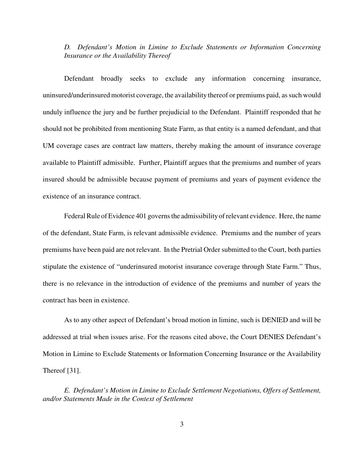*D. Defendant's Motion in Limine to Exclude Statements or Information Concerning Insurance or the Availability Thereof*

Defendant broadly seeks to exclude any information concerning insurance, uninsured/underinsured motorist coverage, the availability thereof or premiums paid, as such would unduly influence the jury and be further prejudicial to the Defendant. Plaintiff responded that he should not be prohibited from mentioning State Farm, as that entity is a named defendant, and that UM coverage cases are contract law matters, thereby making the amount of insurance coverage available to Plaintiff admissible. Further, Plaintiff argues that the premiums and number of years insured should be admissible because payment of premiums and years of payment evidence the existence of an insurance contract.

Federal Rule of Evidence 401 governs the admissibility of relevant evidence. Here, the name of the defendant, State Farm, is relevant admissible evidence. Premiums and the number of years premiums have been paid are not relevant. In the Pretrial Order submitted to the Court, both parties stipulate the existence of "underinsured motorist insurance coverage through State Farm." Thus, there is no relevance in the introduction of evidence of the premiums and number of years the contract has been in existence.

As to any other aspect of Defendant's broad motion in limine, such is DENIED and will be addressed at trial when issues arise. For the reasons cited above, the Court DENIES Defendant's Motion in Limine to Exclude Statements or Information Concerning Insurance or the Availability Thereof [31].

*E. Defendant's Motion in Limine to Exclude Settlement Negotiations, Offers of Settlement, and/or Statements Made in the Context of Settlement*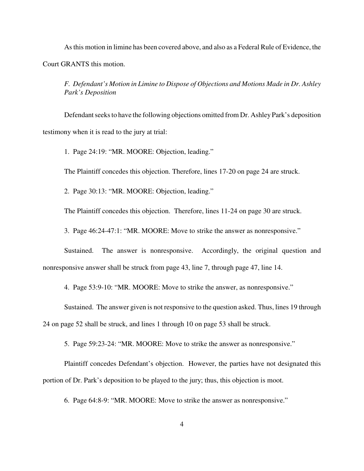Asthis motion in limine has been covered above, and also as a Federal Rule of Evidence, the Court GRANTS this motion.

*F. Defendant's Motion in Limine to Dispose of Objections and Motions Made in Dr. Ashley Park's Deposition*

Defendant seeks to have the following objections omitted from Dr. Ashley Park's deposition testimony when it is read to the jury at trial:

1. Page 24:19: "MR. MOORE: Objection, leading."

The Plaintiff concedes this objection. Therefore, lines 17-20 on page 24 are struck.

2. Page 30:13: "MR. MOORE: Objection, leading."

The Plaintiff concedes this objection. Therefore, lines 11-24 on page 30 are struck.

3. Page 46:24-47:1: "MR. MOORE: Move to strike the answer as nonresponsive."

Sustained. The answer is nonresponsive. Accordingly, the original question and nonresponsive answer shall be struck from page 43, line 7, through page 47, line 14.

4. Page 53:9-10: "MR. MOORE: Move to strike the answer, as nonresponsive."

Sustained. The answer given is not responsive to the question asked. Thus, lines 19 through 24 on page 52 shall be struck, and lines 1 through 10 on page 53 shall be struck.

5. Page 59:23-24: "MR. MOORE: Move to strike the answer as nonresponsive."

Plaintiff concedes Defendant's objection. However, the parties have not designated this portion of Dr. Park's deposition to be played to the jury; thus, this objection is moot.

6. Page 64:8-9: "MR. MOORE: Move to strike the answer as nonresponsive."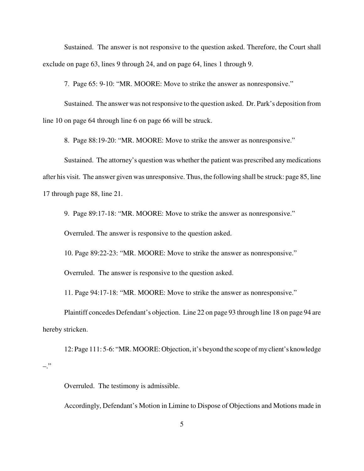Sustained. The answer is not responsive to the question asked. Therefore, the Court shall exclude on page 63, lines 9 through 24, and on page 64, lines 1 through 9.

7. Page 65: 9-10: "MR. MOORE: Move to strike the answer as nonresponsive."

Sustained. The answer was not responsive to the question asked. Dr. Park's deposition from line 10 on page 64 through line 6 on page 66 will be struck.

8. Page 88:19-20: "MR. MOORE: Move to strike the answer as nonresponsive."

Sustained. The attorney's question was whether the patient was prescribed any medications after his visit. The answer given was unresponsive. Thus, the following shall be struck: page 85, line 17 through page 88, line 21.

9. Page 89:17-18: "MR. MOORE: Move to strike the answer as nonresponsive."

Overruled. The answer is responsive to the question asked.

10. Page 89:22-23: "MR. MOORE: Move to strike the answer as nonresponsive."

Overruled. The answer is responsive to the question asked.

11. Page 94:17-18: "MR. MOORE: Move to strike the answer as nonresponsive."

Plaintiff concedes Defendant's objection. Line 22 on page 93 through line 18 on page 94 are hereby stricken.

12: Page 111: 5-6: "MR. MOORE: Objection, it's beyond the scope ofmyclient's knowledge –."

Overruled. The testimony is admissible.

Accordingly, Defendant's Motion in Limine to Dispose of Objections and Motions made in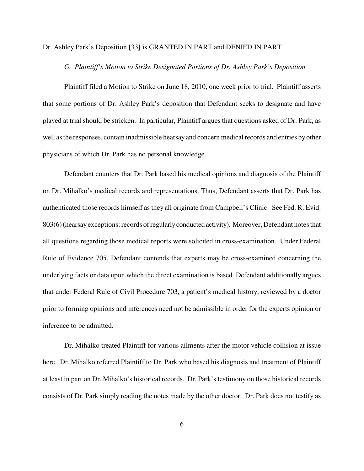#### Dr. Ashley Park's Deposition [33] is GRANTED IN PART and DENIED IN PART.

## *G. Plaintiff's Motion to Strike Designated Portions of Dr. Ashley Park's Deposition*

Plaintiff filed a Motion to Strike on June 18, 2010, one week prior to trial. Plaintiff asserts that some portions of Dr. Ashley Park's deposition that Defendant seeks to designate and have played at trial should be stricken. In particular, Plaintiff argues that questions asked of Dr. Park, as well as the responses, contain inadmissible hearsay and concern medical records and entries by other physicians of which Dr. Park has no personal knowledge.

Defendant counters that Dr. Park based his medical opinions and diagnosis of the Plaintiff on Dr. Mihalko's medical records and representations. Thus, Defendant asserts that Dr. Park has authenticated those records himself as they all originate from Campbell's Clinic. See Fed. R. Evid. 803(6) (hearsay exceptions: records of regularly conducted activity). Moreover, Defendant notes that all questions regarding those medical reports were solicited in cross-examination. Under Federal Rule of Evidence 705, Defendant contends that experts may be cross-examined concerning the underlying facts or data upon which the direct examination is based. Defendant additionally argues that under Federal Rule of Civil Procedure 703, a patient's medical history, reviewed by a doctor prior to forming opinions and inferences need not be admissible in order for the experts opinion or inference to be admitted.

Dr. Mihalko treated Plaintiff for various ailments after the motor vehicle collision at issue here. Dr. Mihalko referred Plaintiff to Dr. Park who based his diagnosis and treatment of Plaintiff at least in part on Dr. Mihalko's historical records. Dr. Park's testimony on those historical records consists of Dr. Park simply reading the notes made by the other doctor. Dr. Park does not testify as